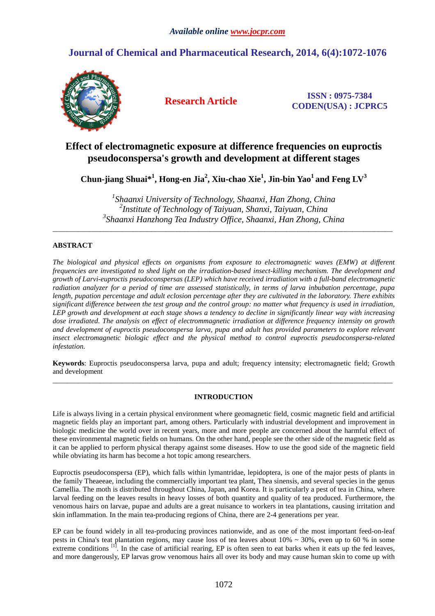# **Journal of Chemical and Pharmaceutical Research, 2014, 6(4):1072-1076**



**Research Article ISSN : 0975-7384 CODEN(USA) : JCPRC5**

# **Effect of electromagnetic exposure at difference frequencies on euproctis pseudoconspersa's growth and development at different stages**

 $\mathbf{C}$ hun-jiang Shuai $^{*1}$ , Hong-en Jia $^{2}$ , Xiu-chao Xie $^{1}$ , Jin-bin Yao $^{1}$  and Feng LV $^{3}$ 

*1 Shaanxi University of Technology, Shaanxi, Han Zhong, China 2 Institute of Technology of Taiyuan, Shanxi, Taiyuan, China 3 Shaanxi Hanzhong Tea Industry Office, Shaanxi, Han Zhong, China* 

\_\_\_\_\_\_\_\_\_\_\_\_\_\_\_\_\_\_\_\_\_\_\_\_\_\_\_\_\_\_\_\_\_\_\_\_\_\_\_\_\_\_\_\_\_\_\_\_\_\_\_\_\_\_\_\_\_\_\_\_\_\_\_\_\_\_\_\_\_\_\_\_\_\_\_\_\_\_\_\_\_\_\_\_\_\_\_\_\_\_\_\_\_

# **ABSTRACT**

*The biological and physical effects on organisms from exposure to electromagnetic waves (EMW) at different frequencies are investigated to shed light on the irradiation-based insect-killing mechanism. The development and growth of Larvi-euproctis pseudoconspersas (LEP) which have received irradiation with a full-band electromagnetic radiation analyzer for a period of time are assessed statistically, in terms of larva inbubation percentage, pupa length, pupation percentage and adult eclosion percentage after they are cultivated in the laboratory. There exhibits significant difference between the test group and the control group: no matter what frequency is used in irradiation, LEP growth and development at each stage shows a tendency to decline in significantly linear way with increasing dose irradiated. The analysis on effect of electrommagnetic irradiation at difference frequency intensity on growth and development of euproctis pseudoconspersa larva, pupa and adult has provided parameters to explore relevant insect electromagnetic biologic effect and the physical method to control euproctis pseudoconspersa-related infestation.* 

**Keywords**: Euproctis pseudoconspersa larva, pupa and adult; frequency intensity; electromagnetic field; Growth and development  $\overline{a}$  , and the contribution of the contribution of the contribution of the contribution of the contribution of the contribution of the contribution of the contribution of the contribution of the contribution of the co

# **INTRODUCTION**

Life is always living in a certain physical environment where geomagnetic field, cosmic magnetic field and artificial magnetic fields play an important part, among others. Particularly with industrial development and improvement in biologic medicine the world over in recent years, more and more people are concerned about the harmful effect of these environmental magnetic fields on humans. On the other hand, people see the other side of the magnetic field as it can be applied to perform physical therapy against some diseases. How to use the good side of the magnetic field while obviating its harm has become a hot topic among researchers.

Euproctis pseudoconspersa (EP), which falls within lymantridae, lepidoptera, is one of the major pests of plants in the family Theaeeae, including the commercially important tea plant, Thea sinensis, and several species in the genus Camellia. The moth is distributed throughout China, Japan, and Korea. It is particularly a pest of tea in China, where larval feeding on the leaves results in heavy losses of both quantity and quality of tea produced. Furthermore, the venomous hairs on larvae, pupae and adults are a great nuisance to workers in tea plantations, causing irritation and skin inflammation. In the main tea-producing regions of China, there are 2-4 generations per year.

EP can be found widely in all tea-producing provinces nationwide, and as one of the most important feed-on-leaf pests in China's teat plantation regions, may cause loss of tea leaves about  $10\% \sim 30\%$ , even up to 60 % in some extreme conditions  $\begin{bmatrix} 1 \end{bmatrix}$ . In the case of artificial rearing, EP is often seen to eat barks when it eats up the fed leaves, and more dangerously, EP larvas grow venomous hairs all over its body and may cause human skin to come up with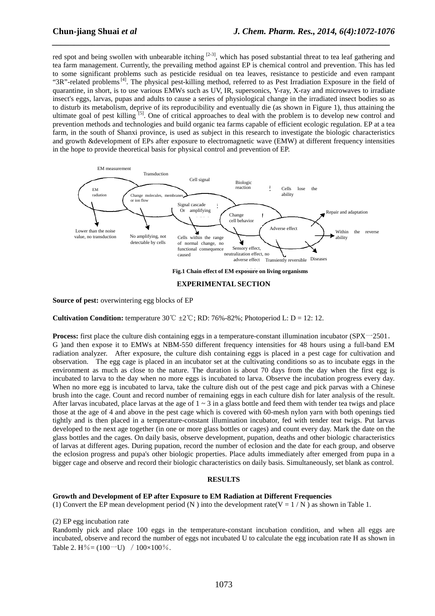red spot and being swollen with unbearable itching  $[2-3]$ , which has posed substantial threat to tea leaf gathering and tea farm management. Currently, the prevailing method against EP is chemical control and prevention. This has led to some significant problems such as pesticide residual on tea leaves, resistance to pesticide and even rampant " $3R$ "-related problems<sup>[4]</sup>. The physical pest-killing method, referred to as Pest Irradiation Exposure in the field of quarantine, in short, is to use various EMWs such as UV, IR, supersonics, Y-ray, X-ray and microwaves to irradiate insect's eggs, larvas, pupas and adults to cause a series of physiological change in the irradiated insect bodies so as to disturb its metabolism, deprive of its reproducibility and eventually die (as shown in Figure 1), thus attaining the ultimate goal of pest killing [5]. One of critical approaches to deal with the problem is to develop new control and prevention methods and technologies and build organic tea farms capable of efficient ecologic regulation. EP at a tea farm, in the south of Shanxi province, is used as subject in this research to investigate the biologic characteristics and growth &development of EPs after exposure to electromagnetic wave (EMW) at different frequency intensities in the hope to provide theoretical basis for physical control and prevention of EP.

*\_\_\_\_\_\_\_\_\_\_\_\_\_\_\_\_\_\_\_\_\_\_\_\_\_\_\_\_\_\_\_\_\_\_\_\_\_\_\_\_\_\_\_\_\_\_\_\_\_\_\_\_\_\_\_\_\_\_\_\_\_\_\_\_\_\_\_\_\_\_\_\_\_\_\_\_\_*



**EXPERIMENTAL SECTION** 

**Source of pest:** overwintering egg blocks of EP

**Cultivation Condition:** temperature  $30^{\circ}$ C  $\pm 2^{\circ}$ ; RD: 76%-82%; Photoperiod L: D = 12: 12.

Process: first place the culture dish containing eggs in a temperature-constant illumination incubator (SPX-2501. G )and then expose it to EMWs at NBM-550 different frequency intensities for 48 hours using a full-band EM radiation analyzer. After exposure, the culture dish containing eggs is placed in a pest cage for cultivation and observation. The egg cage is placed in an incubator set at the cultivating conditions so as to incubate eggs in the environment as much as close to the nature. The duration is about 70 days from the day when the first egg is incubated to larva to the day when no more eggs is incubated to larva. Observe the incubation progress every day. When no more egg is incubated to larva, take the culture dish out of the pest cage and pick parvas with a Chinese brush into the cage. Count and record number of remaining eggs in each culture dish for later analysis of the result. After larvas incubated, place larvas at the age of  $1 \sim 3$  in a glass bottle and feed them with tender tea twigs and place those at the age of 4 and above in the pest cage which is covered with 60-mesh nylon yarn with both openings tied tightly and is then placed in a temperature-constant illumination incubator, fed with tender teat twigs. Put larvas developed to the next age together (in one or more glass bottles or cages) and count every day. Mark the date on the glass bottles and the cages. On daily basis, observe development, pupation, deaths and other biologic characteristics of larvas at different ages. During pupation, record the number of eclosion and the date for each group, and observe the eclosion progress and pupa's other biologic properties. Place adults immediately after emerged from pupa in a bigger cage and observe and record their biologic characteristics on daily basis. Simultaneously, set blank as control.

### **RESULTS**

#### **Growth and Development of EP after Exposure to EM Radiation at Different Frequencies**

(1) Convert the EP mean development period (N) into the development rate( $V = 1/N$ ) as shown in Table 1.

(2) EP egg incubation rate

Randomly pick and place 100 eggs in the temperature-constant incubation condition, and when all eggs are incubated, observe and record the number of eggs not incubated U to calculate the egg incubation rate H as shown in Table 2. H% =  $(100 - U)$  /  $100 \times 100$ %.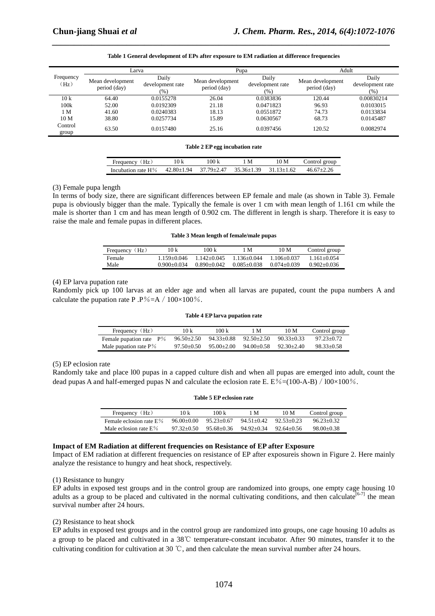|                                | Larva                            |                                  | Pupa                             |                                      | Adult                            |                                      |
|--------------------------------|----------------------------------|----------------------------------|----------------------------------|--------------------------------------|----------------------------------|--------------------------------------|
| Frequency<br>(H <sub>Z</sub> ) | Mean development<br>period (day) | Daily<br>development rate<br>(%) | Mean development<br>period (day) | Daily<br>development rate<br>$(\% )$ | Mean development<br>period (day) | Daily<br>development rate<br>$(\% )$ |
| 10k                            | 64.40                            | 0.0155278                        | 26.04                            | 0.0383836                            | 120.44                           | 0.00830214                           |
| 100k                           | 52.00                            | 0.0192309                        | 21.18                            | 0.0471823                            | 96.93                            | 0.0103015                            |
| 1 M                            | 41.60                            | 0.0240383                        | 18.13                            | 0.0551872                            | 74.73                            | 0.0133834                            |
| 10 <sub>M</sub>                | 38.80                            | 0.0257734                        | 15.89                            | 0.0630567                            | 68.73                            | 0.0145487                            |
| Control<br>group               | 63.50                            | 0.0157480                        | 25.16                            | 0.0397456                            | 120.52                           | 0.0082974                            |

### **Table 1 General development of EPs after exposure to EM radiation at difference frequencies**

*\_\_\_\_\_\_\_\_\_\_\_\_\_\_\_\_\_\_\_\_\_\_\_\_\_\_\_\_\_\_\_\_\_\_\_\_\_\_\_\_\_\_\_\_\_\_\_\_\_\_\_\_\_\_\_\_\_\_\_\_\_\_\_\_\_\_\_\_\_\_\_\_\_\_\_\_\_*

|  | Table 2 EP egg incubation rate |
|--|--------------------------------|
|--|--------------------------------|

| Frequency (Hz)                                                    | 10 k | 100 k | 1 M | 10 M | Control group |
|-------------------------------------------------------------------|------|-------|-----|------|---------------|
| Incubation rate $H\%$ 42.80+1.94 37.79+2.47 35.36+1.39 31.13+1.62 |      |       |     |      | 46.67+2.26    |

## (3) Female pupa length

In terms of body size, there are significant differences between EP female and male (as shown in Table 3). Female pupa is obviously bigger than the male. Typically the female is over 1 cm with mean length of 1.161 cm while the male is shorter than 1 cm and has mean length of 0.902 cm. The different in length is sharp. Therefore it is easy to raise the male and female pupas in different places.

### **Table 3 Mean length of female/male pupas**

| Frequency $(Hz)$ | 10 k            | 100 k           | 1 M             | 10 M            | Control group   |
|------------------|-----------------|-----------------|-----------------|-----------------|-----------------|
| Female           | $1.159 + 0.046$ | $1.142 + 0.045$ | $1.136 + 0.044$ | $1.106 + 0.037$ | $1.161 + 0.054$ |
| Male             | $0.900 + 0.034$ | $0.890 + 0.042$ | $0.085 + 0.038$ | $0.074 + 0.039$ | $0.902 + 0.036$ |

## (4) EP larva pupation rate

Randomly pick up 100 larvas at an elder age and when all larvas are pupated, count the pupa numbers A and calculate the pupation rate P .P%=A /  $100\times100\%$ .

#### **Table 4 EP larva pupation rate**

| Frequency (Hz)             | 10 k             | 100 k          | 1 M            | 10 M           | Control group |
|----------------------------|------------------|----------------|----------------|----------------|---------------|
| Female pupation rate $P\%$ | $96.50 \pm 2.50$ | 94.33±0.88     | $92.50 + 2.50$ | $90.33 + 0.33$ | 97.23+0.72    |
| Male pupation rate $P\%$   | $97.50 + 0.50$   | $95.00 + 2.00$ | 94.00+0.58     | $92.30 + 2.40$ | $98.33+0.58$  |

## (5) EP eclosion rate

Randomly take and place l00 pupas in a capped culture dish and when all pupas are emerged into adult, count the dead pupas A and half-emerged pupas N and calculate the eclosion rate E.  $E\% = (100-A-B)/100 \times 100\%$ .

| Frequency (Hz)             | 10 k           | 100k           | 1 M            | 10 M           | Control group  |
|----------------------------|----------------|----------------|----------------|----------------|----------------|
| Female eclosion rate $E\%$ | 96.00+0.00     | $95.23 + 0.67$ | $94.51 + 0.42$ | $92.53 + 0.23$ | $96.23 + 0.32$ |
| Male eclosion rate $E%$    | $97.32 + 0.50$ | $95.68 + 0.36$ | $94.92 + 0.34$ | $92.64 + 0.56$ | $98.00 + 0.38$ |

**Table 5 EP eclosion rate** 

#### **Impact of EM Radiation at different frequencies on Resistance of EP after Exposure**

Impact of EM radiation at different frequencies on resistance of EP after exposureis shown in Figure 2. Here mainly analyze the resistance to hungry and heat shock, respectively.

### (1) Resistance to hungry

EP adults in exposed test groups and in the control group are randomized into groups, one empty cage housing 10 adults as a group to be placed and cultivated in the normal cultivating conditions, and then calculate<sup>[6-7]</sup> the mean survival number after 24 hours.

# (2) Resistance to heat shock

EP adults in exposed test groups and in the control group are randomized into groups, one cage housing 10 adults as a group to be placed and cultivated in a 38℃ temperature-constant incubator. After 90 minutes, transfer it to the cultivating condition for cultivation at 30 ℃, and then calculate the mean survival number after 24 hours.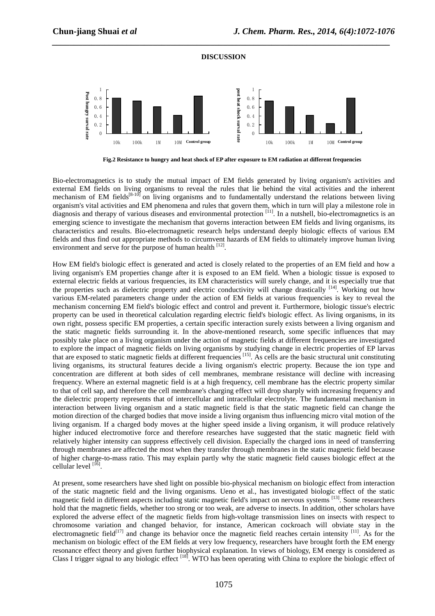

*\_\_\_\_\_\_\_\_\_\_\_\_\_\_\_\_\_\_\_\_\_\_\_\_\_\_\_\_\_\_\_\_\_\_\_\_\_\_\_\_\_\_\_\_\_\_\_\_\_\_\_\_\_\_\_\_\_\_\_\_\_\_\_\_\_\_\_\_\_\_\_\_\_\_\_\_\_*

**Fig.2 Resistance to hungry and heat shock of EP after exposure to EM radiation at different frequencies** 

Bio-electromagnetics is to study the mutual impact of EM fields generated by living organism's activities and external EM fields on living organisms to reveal the rules that lie behind the vital activities and the inherent mechanism of EM fields<sup>[8-10]</sup> on living organisms and to fundamentally understand the relations between living organism's vital activities and EM phenomena and rules that govern them, which in turn will play a milestone role in diagnosis and therapy of various diseases and environmental protection <sup>[11]</sup>. In a nutshell, bio-electromagnetics is an diagnosis emerging science to investigate the mechanism that governs interaction between EM fields and living organisms, its characteristics and results. Bio-electromagnetic research helps understand deeply biologic effects of various EM fields and thus find out appropriate methods to circumvent hazards of EM fields to ultimately improve human living environment and serve for the purpose of human health  $^{[12]}$ .

How EM field's biologic effect is generated and acted is closely related to the properties of an EM field and how a living organism's EM properties change after it is exposed to an EM field. When a biologic tissue is exposed to external electric fields at various frequencies, its EM characteristics will surely change, and it is especially true that the properties such as dielectric property and electric conductivity will change drastically <sup>[14]</sup>. Working out how various EM-related parameters change under the action of EM fields at various frequencies is key to reveal the mechanism concerning EM field's biologic effect and control and prevent it. Furthermore, biologic tissue's electric property can be used in theoretical calculation regarding electric field's biologic effect. As living organisms, in its own right, possess specific EM properties, a certain specific interaction surely exists between a living organism and the static magnetic fields surrounding it. In the above-mentioned research, some specific influences that may possibly take place on a living organism under the action of magnetic fields at different frequencies are investigated to explore the impact of magnetic fields on living organisms by studying change in electric properties of EP larvas that are exposed to static magnetic fields at different frequencies [15]. As cells are the basic structural unit constituting living organisms, its structural features decide a living organism's electric property. Because the ion type and concentration are different at both sides of cell membranes, membrane resistance will decline with increasing frequency. Where an external magnetic field is at a high frequency, cell membrane has the electric property similar to that of cell sap, and therefore the cell membrane's charging effect will drop sharply with increasing frequency and the dielectric property represents that of intercellular and intracellular electrolyte. The fundamental mechanism in interaction between living organism and a static magnetic field is that the static magnetic field can change the motion direction of the charged bodies that move inside a living organism thus influencing micro vital motion of the living organism. If a charged body moves at the higher speed inside a living organism, it will produce relatively higher induced electromotive force and therefore researches have suggested that the static magnetic field with relatively higher intensity can suppress effectively cell division. Especially the charged ions in need of transferring through membranes are affected the most when they transfer through membranes in the static magnetic field because of higher charge-to-mass ratio. This may explain partly why the static magnetic field causes biologic effect at the cellular level  $^{[16]}$ .

At present, some researchers have shed light on possible bio-physical mechanism on biologic effect from interaction of the static magnetic field and the living organisms. Ueno et al., has investigated biologic effect of the static magnetic field in different aspects including static magnetic field's impact on nervous systems [13]. Some researchers hold that the magnetic fields, whether too strong or too weak, are adverse to insects. In addition, other scholars have explored the adverse effect of the magnetic fields from high-voltage transmission lines on insects with respect to chromosome variation and changed behavior, for instance, American cockroach will obviate stay in the electromagnetic field<sup>[17]</sup> and change its behavior once the magnetic field reaches certain intensity  $[11]$ . As for the mechanism on biologic effect of the EM fields at very low frequency, researchers have brought forth the EM energy resonance effect theory and given further biophysical explanation. In views of biology, EM energy is considered as Class I trigger signal to any biologic effect [18]. WTO has been operating with China to explore the biologic effect of